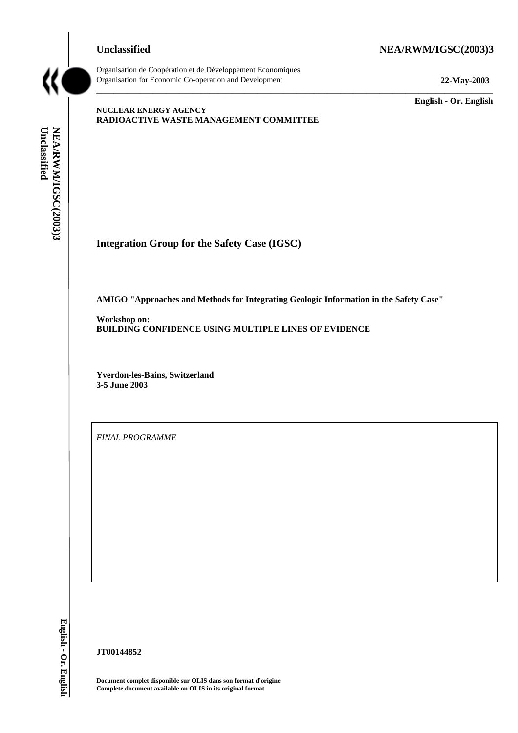## **Unclassified NEA/RWM/IGSC(2003)3**



Organisation de Coopération et de Développement Economiques Organisation for Economic Co-operation and Development **22-May-2003**

**English - Or. English**

# **NUCLEAR ENERGY AGENCY RADIOACTIVE WASTE MANAGEMENT COMMITTEE**

**Integration Group for the Safety Case (IGSC)**

**AMIGO "Approaches and Methods for Integrating Geologic Information in the Safety Case"**

\_\_\_\_\_\_\_\_\_\_\_\_\_\_\_\_\_\_\_\_\_\_\_\_\_\_\_\_\_\_\_\_\_\_\_\_\_\_\_\_\_\_\_\_\_\_\_\_\_\_\_\_\_\_\_\_\_\_\_\_\_\_\_\_\_\_\_\_\_\_\_\_\_\_\_\_\_\_\_\_\_\_\_\_\_\_\_\_\_\_\_

**Workshop on: BUILDING CONFIDENCE USING MULTIPLE LINES OF EVIDENCE**

**Yverdon-les-Bains, Switzerland 3-5 June 2003**

*FINAL PROGRAMME*

**JT00144852**

**Document complet disponible sur OLIS dans son format d'origine Complete document available on OLIS in its original format**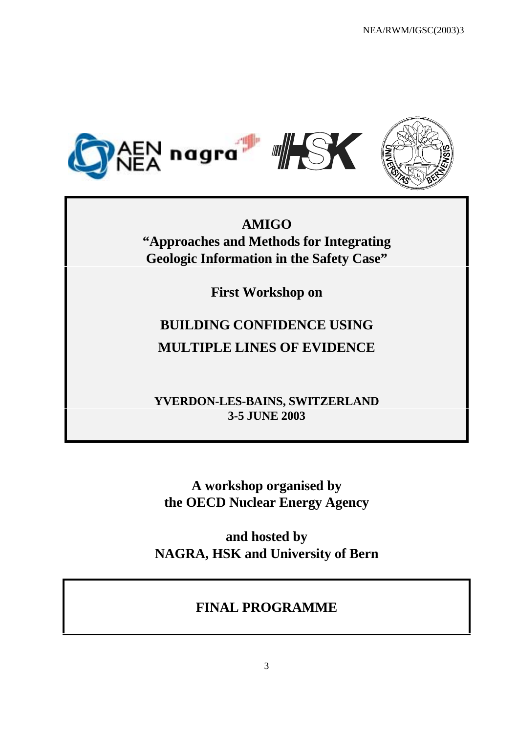

**AMIGO "Approaches and Methods for Integrating Geologic Information in the Safety Case"**

**First Workshop on**

# **BUILDING CONFIDENCE USING MULTIPLE LINES OF EVIDENCE**

**YVERDON-LES-BAINS, SWITZERLAND 3-5 JUNE 2003**

**A workshop organised by the OECD Nuclear Energy Agency**

**and hosted by NAGRA, HSK and University of Bern**

# **FINAL PROGRAMME**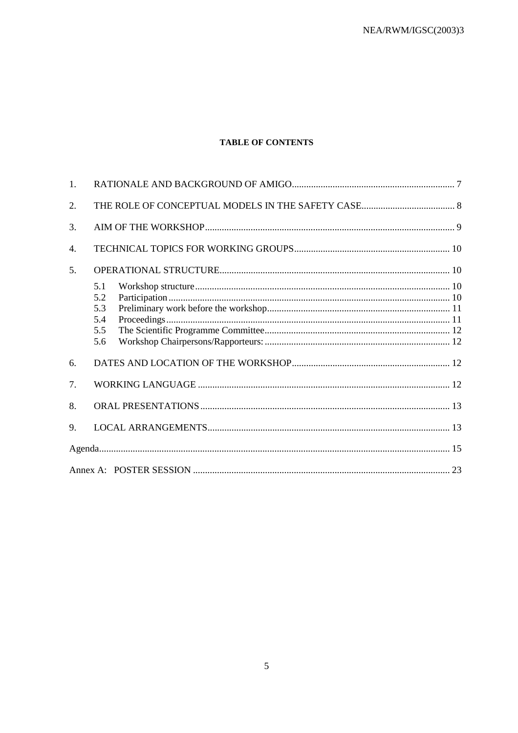# **TABLE OF CONTENTS**

| 1. |                                        |  |  |
|----|----------------------------------------|--|--|
| 2. |                                        |  |  |
| 3. |                                        |  |  |
| 4. |                                        |  |  |
| 5. |                                        |  |  |
|    | 5.1<br>5.2<br>5.3<br>5.4<br>5.5<br>5.6 |  |  |
| 6. |                                        |  |  |
| 7. |                                        |  |  |
| 8. |                                        |  |  |
| 9. |                                        |  |  |
|    |                                        |  |  |
|    |                                        |  |  |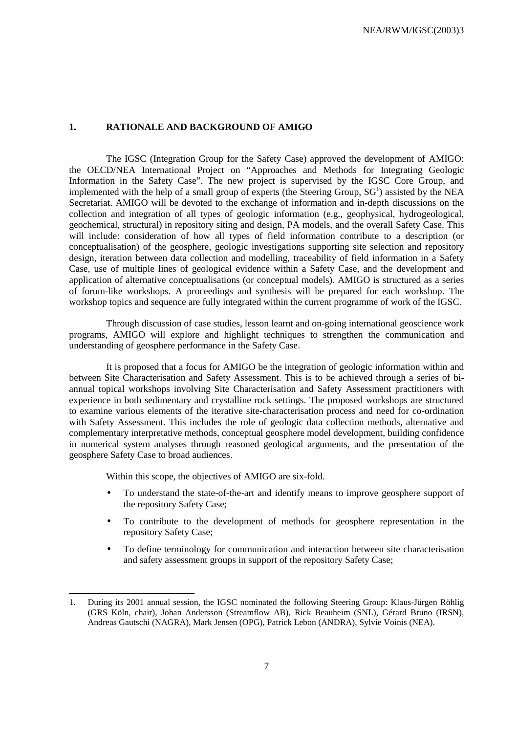### **1. RATIONALE AND BACKGROUND OF AMIGO**

The IGSC (Integration Group for the Safety Case) approved the development of AMIGO: the OECD/NEA International Project on "Approaches and Methods for Integrating Geologic Information in the Safety Case". The new project is supervised by the IGSC Core Group, and implemented with the help of a small group of experts (the Steering Group,  $SG<sup>1</sup>$ ) assisted by the NEA Secretariat. AMIGO will be devoted to the exchange of information and in-depth discussions on the collection and integration of all types of geologic information (e.g., geophysical, hydrogeological, geochemical, structural) in repository siting and design, PA models, and the overall Safety Case. This will include: consideration of how all types of field information contribute to a description (or conceptualisation) of the geosphere, geologic investigations supporting site selection and repository design, iteration between data collection and modelling, traceability of field information in a Safety Case, use of multiple lines of geological evidence within a Safety Case, and the development and application of alternative conceptualisations (or conceptual models). AMIGO is structured as a series of forum-like workshops. A proceedings and synthesis will be prepared for each workshop. The workshop topics and sequence are fully integrated within the current programme of work of the IGSC.

Through discussion of case studies, lesson learnt and on-going international geoscience work programs, AMIGO will explore and highlight techniques to strengthen the communication and understanding of geosphere performance in the Safety Case.

It is proposed that a focus for AMIGO be the integration of geologic information within and between Site Characterisation and Safety Assessment. This is to be achieved through a series of biannual topical workshops involving Site Characterisation and Safety Assessment practitioners with experience in both sedimentary and crystalline rock settings. The proposed workshops are structured to examine various elements of the iterative site-characterisation process and need for co-ordination with Safety Assessment. This includes the role of geologic data collection methods, alternative and complementary interpretative methods, conceptual geosphere model development, building confidence in numerical system analyses through reasoned geological arguments, and the presentation of the geosphere Safety Case to broad audiences.

Within this scope, the objectives of AMIGO are six-fold.

 $\overline{a}$ 

- To understand the state-of-the-art and identify means to improve geosphere support of the repository Safety Case;
- To contribute to the development of methods for geosphere representation in the repository Safety Case;
- To define terminology for communication and interaction between site characterisation and safety assessment groups in support of the repository Safety Case;

<sup>1.</sup> During its 2001 annual session, the IGSC nominated the following Steering Group: Klaus-Jürgen Röhlig (GRS Köln, chair), Johan Andersson (Streamflow AB), Rick Beauheim (SNL), Gérard Bruno (IRSN), Andreas Gautschi (NAGRA), Mark Jensen (OPG), Patrick Lebon (ANDRA), Sylvie Voinis (NEA).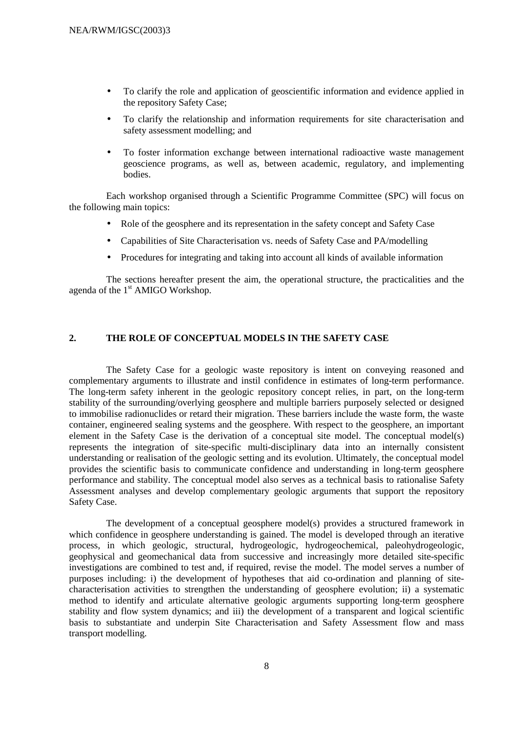- To clarify the role and application of geoscientific information and evidence applied in the repository Safety Case;
- To clarify the relationship and information requirements for site characterisation and safety assessment modelling; and
- To foster information exchange between international radioactive waste management geoscience programs, as well as, between academic, regulatory, and implementing bodies.

Each workshop organised through a Scientific Programme Committee (SPC) will focus on the following main topics:

- Role of the geosphere and its representation in the safety concept and Safety Case
- Capabilities of Site Characterisation vs. needs of Safety Case and PA/modelling
- Procedures for integrating and taking into account all kinds of available information

The sections hereafter present the aim, the operational structure, the practicalities and the agenda of the 1<sup>st</sup> AMIGO Workshop.

# **2. THE ROLE OF CONCEPTUAL MODELS IN THE SAFETY CASE**

The Safety Case for a geologic waste repository is intent on conveying reasoned and complementary arguments to illustrate and instil confidence in estimates of long-term performance. The long-term safety inherent in the geologic repository concept relies, in part, on the long-term stability of the surrounding/overlying geosphere and multiple barriers purposely selected or designed to immobilise radionuclides or retard their migration. These barriers include the waste form, the waste container, engineered sealing systems and the geosphere. With respect to the geosphere, an important element in the Safety Case is the derivation of a conceptual site model. The conceptual model(s) represents the integration of site-specific multi-disciplinary data into an internally consistent understanding or realisation of the geologic setting and its evolution. Ultimately, the conceptual model provides the scientific basis to communicate confidence and understanding in long-term geosphere performance and stability. The conceptual model also serves as a technical basis to rationalise Safety Assessment analyses and develop complementary geologic arguments that support the repository Safety Case.

The development of a conceptual geosphere model(s) provides a structured framework in which confidence in geosphere understanding is gained. The model is developed through an iterative process, in which geologic, structural, hydrogeologic, hydrogeochemical, paleohydrogeologic, geophysical and geomechanical data from successive and increasingly more detailed site-specific investigations are combined to test and, if required, revise the model. The model serves a number of purposes including: i) the development of hypotheses that aid co-ordination and planning of sitecharacterisation activities to strengthen the understanding of geosphere evolution; ii) a systematic method to identify and articulate alternative geologic arguments supporting long-term geosphere stability and flow system dynamics; and iii) the development of a transparent and logical scientific basis to substantiate and underpin Site Characterisation and Safety Assessment flow and mass transport modelling.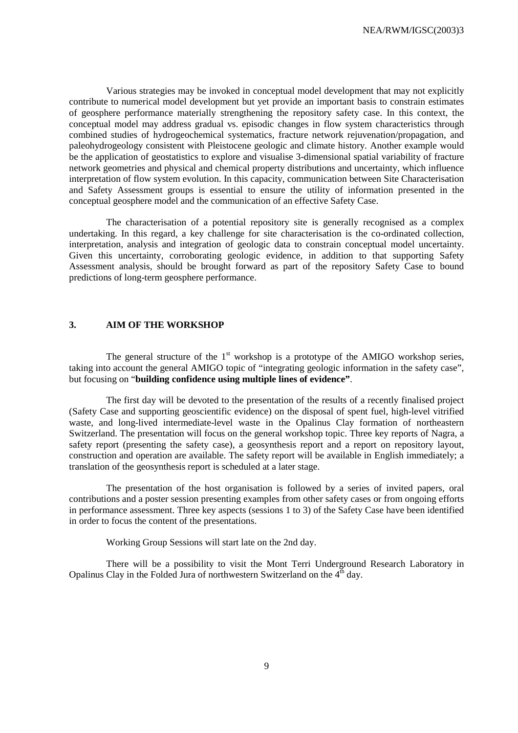Various strategies may be invoked in conceptual model development that may not explicitly contribute to numerical model development but yet provide an important basis to constrain estimates of geosphere performance materially strengthening the repository safety case. In this context, the conceptual model may address gradual vs. episodic changes in flow system characteristics through combined studies of hydrogeochemical systematics, fracture network rejuvenation/propagation, and paleohydrogeology consistent with Pleistocene geologic and climate history. Another example would be the application of geostatistics to explore and visualise 3-dimensional spatial variability of fracture network geometries and physical and chemical property distributions and uncertainty, which influence interpretation of flow system evolution. In this capacity, communication between Site Characterisation and Safety Assessment groups is essential to ensure the utility of information presented in the conceptual geosphere model and the communication of an effective Safety Case.

The characterisation of a potential repository site is generally recognised as a complex undertaking. In this regard, a key challenge for site characterisation is the co-ordinated collection, interpretation, analysis and integration of geologic data to constrain conceptual model uncertainty. Given this uncertainty, corroborating geologic evidence, in addition to that supporting Safety Assessment analysis, should be brought forward as part of the repository Safety Case to bound predictions of long-term geosphere performance.

### **3. AIM OF THE WORKSHOP**

The general structure of the  $1<sup>st</sup>$  workshop is a prototype of the AMIGO workshop series, taking into account the general AMIGO topic of "integrating geologic information in the safety case", but focusing on "**building confidence using multiple lines of evidence"**.

The first day will be devoted to the presentation of the results of a recently finalised project (Safety Case and supporting geoscientific evidence) on the disposal of spent fuel, high-level vitrified waste, and long-lived intermediate-level waste in the Opalinus Clay formation of northeastern Switzerland. The presentation will focus on the general workshop topic. Three key reports of Nagra, a safety report (presenting the safety case), a geosynthesis report and a report on repository layout, construction and operation are available. The safety report will be available in English immediately; a translation of the geosynthesis report is scheduled at a later stage.

The presentation of the host organisation is followed by a series of invited papers, oral contributions and a poster session presenting examples from other safety cases or from ongoing efforts in performance assessment. Three key aspects (sessions 1 to 3) of the Safety Case have been identified in order to focus the content of the presentations.

Working Group Sessions will start late on the 2nd day.

There will be a possibility to visit the Mont Terri Underground Research Laboratory in Opalinus Clay in the Folded Jura of northwestern Switzerland on the 4<sup>th</sup> day.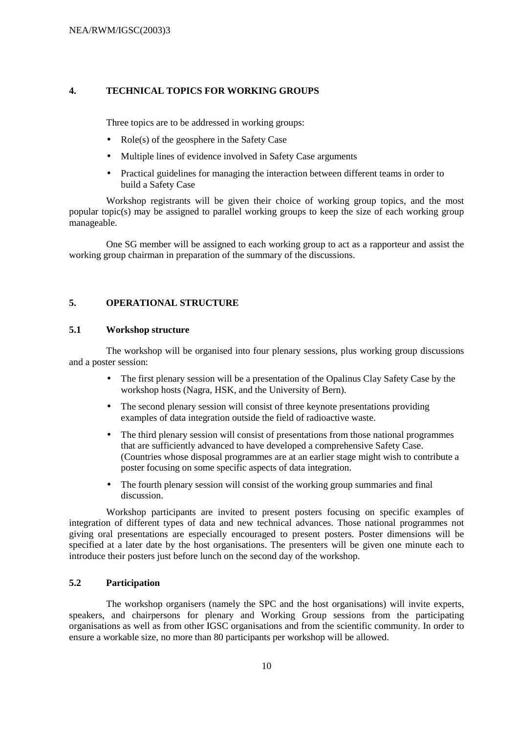### **4. TECHNICAL TOPICS FOR WORKING GROUPS**

Three topics are to be addressed in working groups:

- Role(s) of the geosphere in the Safety Case
- Multiple lines of evidence involved in Safety Case arguments
- Practical guidelines for managing the interaction between different teams in order to build a Safety Case

Workshop registrants will be given their choice of working group topics, and the most popular topic(s) may be assigned to parallel working groups to keep the size of each working group manageable.

One SG member will be assigned to each working group to act as a rapporteur and assist the working group chairman in preparation of the summary of the discussions.

# **5. OPERATIONAL STRUCTURE**

### **5.1 Workshop structure**

The workshop will be organised into four plenary sessions, plus working group discussions and a poster session:

- The first plenary session will be a presentation of the Opalinus Clay Safety Case by the workshop hosts (Nagra, HSK, and the University of Bern).
- The second plenary session will consist of three keynote presentations providing examples of data integration outside the field of radioactive waste.
- The third plenary session will consist of presentations from those national programmes that are sufficiently advanced to have developed a comprehensive Safety Case. (Countries whose disposal programmes are at an earlier stage might wish to contribute a poster focusing on some specific aspects of data integration.
- The fourth plenary session will consist of the working group summaries and final discussion.

Workshop participants are invited to present posters focusing on specific examples of integration of different types of data and new technical advances. Those national programmes not giving oral presentations are especially encouraged to present posters. Poster dimensions will be specified at a later date by the host organisations. The presenters will be given one minute each to introduce their posters just before lunch on the second day of the workshop.

### **5.2 Participation**

The workshop organisers (namely the SPC and the host organisations) will invite experts, speakers, and chairpersons for plenary and Working Group sessions from the participating organisations as well as from other IGSC organisations and from the scientific community. In order to ensure a workable size, no more than 80 participants per workshop will be allowed.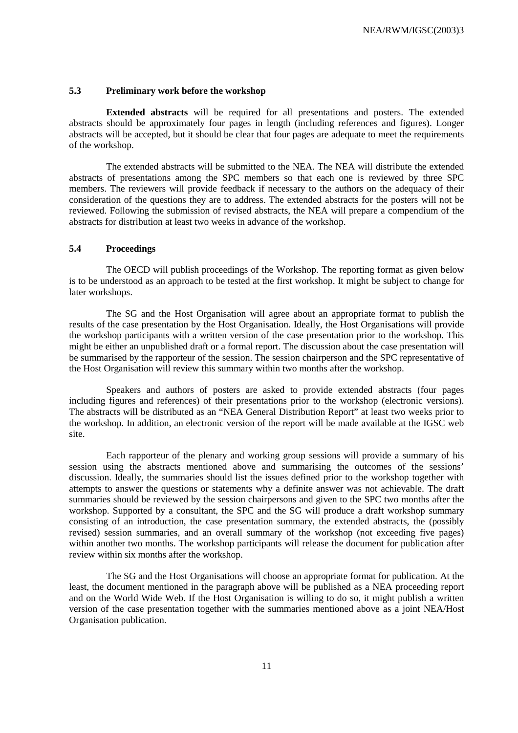### **5.3 Preliminary work before the workshop**

**Extended abstracts** will be required for all presentations and posters. The extended abstracts should be approximately four pages in length (including references and figures). Longer abstracts will be accepted, but it should be clear that four pages are adequate to meet the requirements of the workshop.

The extended abstracts will be submitted to the NEA. The NEA will distribute the extended abstracts of presentations among the SPC members so that each one is reviewed by three SPC members. The reviewers will provide feedback if necessary to the authors on the adequacy of their consideration of the questions they are to address. The extended abstracts for the posters will not be reviewed. Following the submission of revised abstracts, the NEA will prepare a compendium of the abstracts for distribution at least two weeks in advance of the workshop.

### **5.4 Proceedings**

The OECD will publish proceedings of the Workshop. The reporting format as given below is to be understood as an approach to be tested at the first workshop. It might be subject to change for later workshops.

The SG and the Host Organisation will agree about an appropriate format to publish the results of the case presentation by the Host Organisation. Ideally, the Host Organisations will provide the workshop participants with a written version of the case presentation prior to the workshop. This might be either an unpublished draft or a formal report. The discussion about the case presentation will be summarised by the rapporteur of the session. The session chairperson and the SPC representative of the Host Organisation will review this summary within two months after the workshop.

Speakers and authors of posters are asked to provide extended abstracts (four pages including figures and references) of their presentations prior to the workshop (electronic versions). The abstracts will be distributed as an "NEA General Distribution Report" at least two weeks prior to the workshop. In addition, an electronic version of the report will be made available at the IGSC web site.

Each rapporteur of the plenary and working group sessions will provide a summary of his session using the abstracts mentioned above and summarising the outcomes of the sessions' discussion. Ideally, the summaries should list the issues defined prior to the workshop together with attempts to answer the questions or statements why a definite answer was not achievable. The draft summaries should be reviewed by the session chairpersons and given to the SPC two months after the workshop. Supported by a consultant, the SPC and the SG will produce a draft workshop summary consisting of an introduction, the case presentation summary, the extended abstracts, the (possibly revised) session summaries, and an overall summary of the workshop (not exceeding five pages) within another two months. The workshop participants will release the document for publication after review within six months after the workshop.

The SG and the Host Organisations will choose an appropriate format for publication. At the least, the document mentioned in the paragraph above will be published as a NEA proceeding report and on the World Wide Web. If the Host Organisation is willing to do so, it might publish a written version of the case presentation together with the summaries mentioned above as a joint NEA/Host Organisation publication.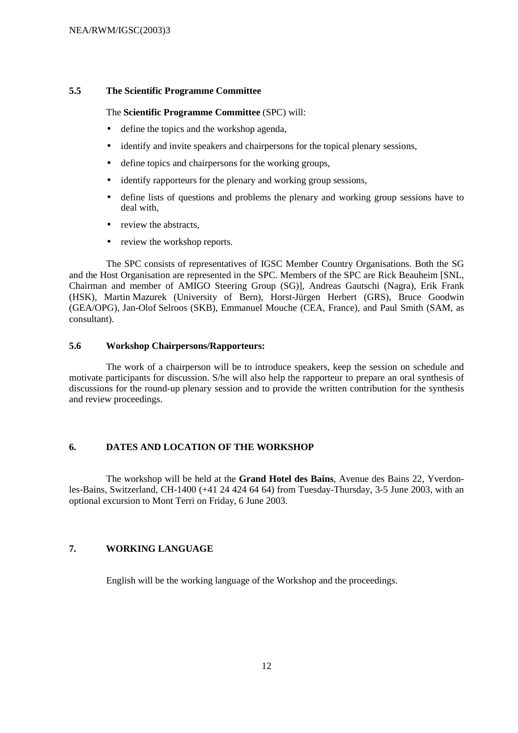### **5.5 The Scientific Programme Committee**

### The **Scientific Programme Committee** (SPC) will:

- define the topics and the workshop agenda,
- identify and invite speakers and chairpersons for the topical plenary sessions,
- define topics and chairpersons for the working groups,
- identify rapporteurs for the plenary and working group sessions,
- define lists of questions and problems the plenary and working group sessions have to deal with,
- review the abstracts.
- review the workshop reports.

The SPC consists of representatives of IGSC Member Country Organisations. Both the SG and the Host Organisation are represented in the SPC. Members of the SPC are Rick Beauheim [SNL, Chairman and member of AMIGO Steering Group (SG)], Andreas Gautschi (Nagra), Erik Frank (HSK), Martin Mazurek (University of Bern), Horst-Jürgen Herbert (GRS), Bruce Goodwin (GEA/OPG), Jan-Olof Selroos (SKB), Emmanuel Mouche (CEA, France), and Paul Smith (SAM, as consultant).

### **5.6 Workshop Chairpersons/Rapporteurs:**

The work of a chairperson will be to introduce speakers, keep the session on schedule and motivate participants for discussion. S/he will also help the rapporteur to prepare an oral synthesis of discussions for the round-up plenary session and to provide the written contribution for the synthesis and review proceedings.

### **6. DATES AND LOCATION OF THE WORKSHOP**

The workshop will be held at the **Grand Hotel des Bains**, Avenue des Bains 22, Yverdonles-Bains, Switzerland, CH-1400 (+41 24 424 64 64) from Tuesday-Thursday, 3-5 June 2003, with an optional excursion to Mont Terri on Friday, 6 June 2003.

# **7. WORKING LANGUAGE**

English will be the working language of the Workshop and the proceedings.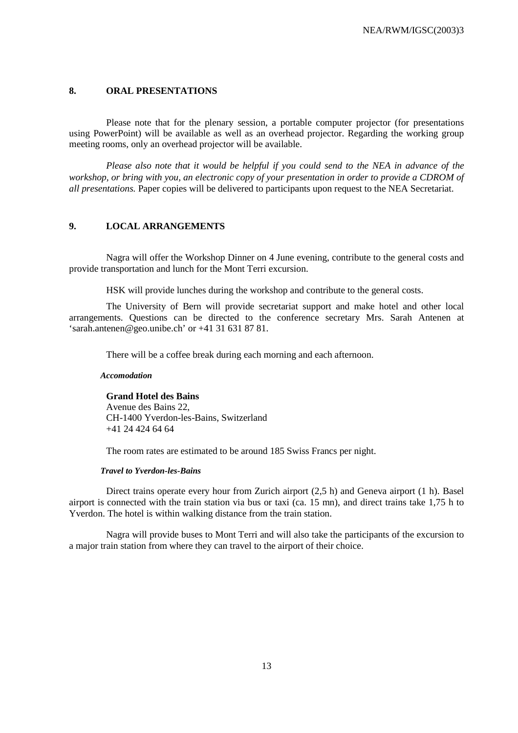### **8. ORAL PRESENTATIONS**

Please note that for the plenary session, a portable computer projector (for presentations using PowerPoint) will be available as well as an overhead projector. Regarding the working group meeting rooms, only an overhead projector will be available.

*Please also note that it would be helpful if you could send to the NEA in advance of the workshop, or bring with you, an electronic copy of your presentation in order to provide a CDROM of all presentations.* Paper copies will be delivered to participants upon request to the NEA Secretariat.

### **9. LOCAL ARRANGEMENTS**

Nagra will offer the Workshop Dinner on 4 June evening, contribute to the general costs and provide transportation and lunch for the Mont Terri excursion.

HSK will provide lunches during the workshop and contribute to the general costs.

The University of Bern will provide secretariat support and make hotel and other local arrangements. Questions can be directed to the conference secretary Mrs. Sarah Antenen at 'sarah.antenen@geo.unibe.ch' or +41 31 631 87 81.

There will be a coffee break during each morning and each afternoon.

### *Accomodation*

**Grand Hotel des Bains** Avenue des Bains 22, CH-1400 Yverdon-les-Bains, Switzerland +41 24 424 64 64

The room rates are estimated to be around 185 Swiss Francs per night.

### *Travel to Yverdon-les-Bains*

Direct trains operate every hour from Zurich airport (2,5 h) and Geneva airport (1 h). Basel airport is connected with the train station via bus or taxi (ca. 15 mn), and direct trains take 1,75 h to Yverdon. The hotel is within walking distance from the train station.

Nagra will provide buses to Mont Terri and will also take the participants of the excursion to a major train station from where they can travel to the airport of their choice.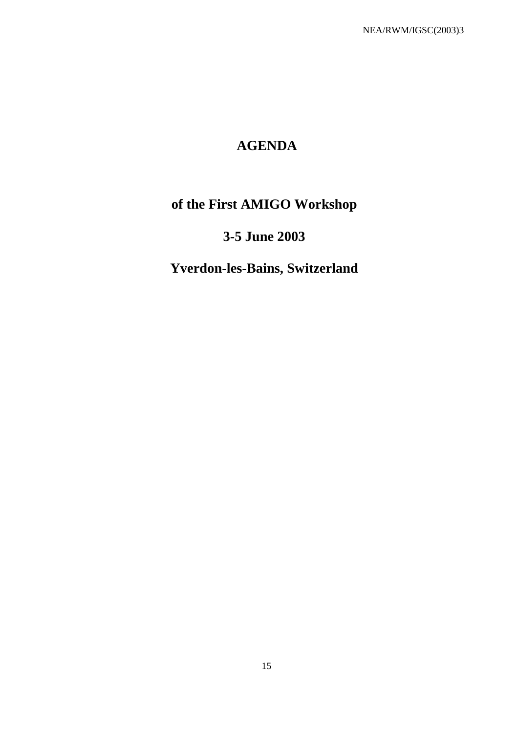# **AGENDA**

# **of the First AMIGO Workshop**

# **3-5 June 2003**

# **Yverdon-les-Bains, Switzerland**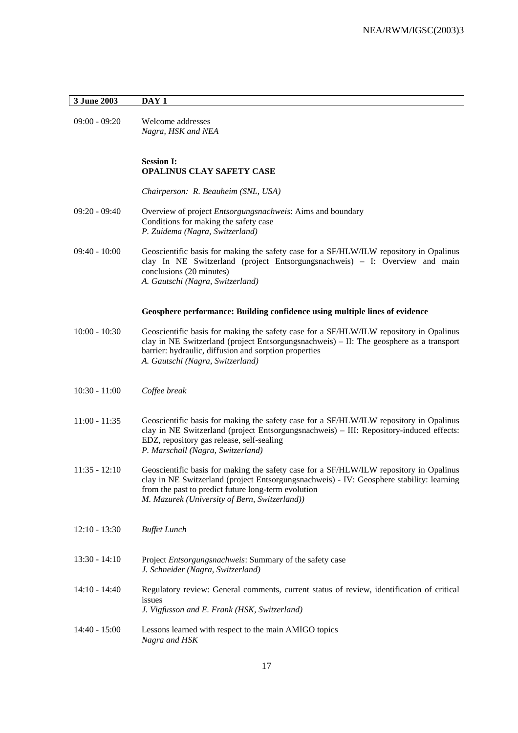### **3 June 2003 DAY 1**

09:00 - 09:20 Welcome addresses *Nagra, HSK and NEA*

### **Session I: OPALINUS CLAY SAFETY CASE**

*Chairperson: R. Beauheim (SNL, USA)*

- 09:20 09:40 Overview of project *Entsorgungsnachweis*: Aims and boundary Conditions for making the safety case *P. Zuidema (Nagra, Switzerland)*
- 09:40 10:00 Geoscientific basis for making the safety case for a SF/HLW/ILW repository in Opalinus clay In NE Switzerland (project Entsorgungsnachweis) – I: Overview and main conclusions (20 minutes) *A. Gautschi (Nagra, Switzerland)*

#### **Geosphere performance: Building confidence using multiple lines of evidence**

- 10:00 10:30 Geoscientific basis for making the safety case for a SF/HLW/ILW repository in Opalinus clay in NE Switzerland (project Entsorgungsnachweis) – II: The geosphere as a transport barrier: hydraulic, diffusion and sorption properties *A. Gautschi (Nagra, Switzerland)*
- 10:30 11:00 *Coffee break*
- 11:00 11:35 Geoscientific basis for making the safety case for a SF/HLW/ILW repository in Opalinus clay in NE Switzerland (project Entsorgungsnachweis) – III: Repository-induced effects: EDZ, repository gas release, self-sealing *P. Marschall (Nagra, Switzerland)*
- 11:35 12:10 Geoscientific basis for making the safety case for a SF/HLW/ILW repository in Opalinus clay in NE Switzerland (project Entsorgungsnachweis) - IV: Geosphere stability: learning from the past to predict future long-term evolution *M. Mazurek (University of Bern, Switzerland))*
- 12:10 13:30 *Buffet Lunch*
- 13:30 14:10 Project *Entsorgungsnachweis*: Summary of the safety case *J. Schneider (Nagra, Switzerland)*
- 14:10 14:40 Regulatory review: General comments, current status of review, identification of critical issues *J. Vigfusson and E. Frank (HSK, Switzerland)*
- 14:40 15:00 Lessons learned with respect to the main AMIGO topics *Nagra and HSK*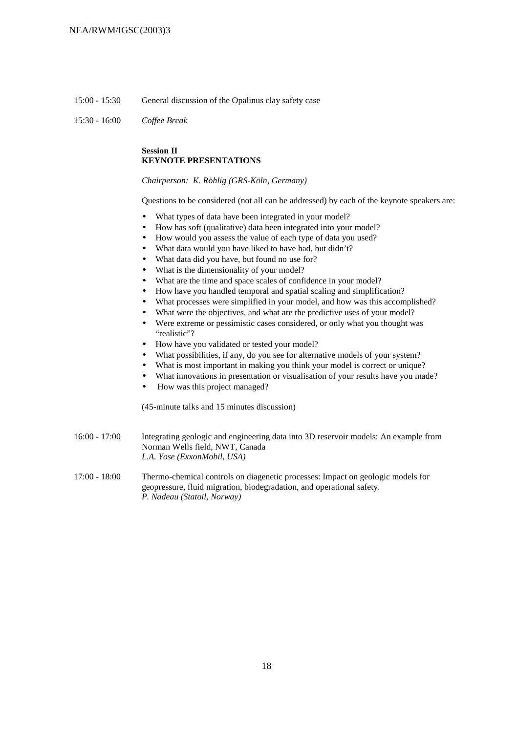- 15:00 15:30 General discussion of the Opalinus clay safety case
- 15:30 16:00 *Coffee Break*

### **Session II KEYNOTE PRESENTATIONS**

*Chairperson: K. Röhlig (GRS-Köln, Germany)*

Questions to be considered (not all can be addressed) by each of the keynote speakers are:

- What types of data have been integrated in your model?
- How has soft (qualitative) data been integrated into your model?
- How would you assess the value of each type of data you used?
- What data would you have liked to have had, but didn't?
- What data did you have, but found no use for?
- What is the dimensionality of your model?
- What are the time and space scales of confidence in your model?
- How have you handled temporal and spatial scaling and simplification?
- What processes were simplified in your model, and how was this accomplished?
- What were the objectives, and what are the predictive uses of your model?
- Were extreme or pessimistic cases considered, or only what you thought was "realistic"?
- How have you validated or tested your model?
- What possibilities, if any, do you see for alternative models of your system?
- What is most important in making you think your model is correct or unique?
- What innovations in presentation or visualisation of your results have you made?
- How was this project managed?

(45-minute talks and 15 minutes discussion)

- 16:00 17:00 Integrating geologic and engineering data into 3D reservoir models: An example from Norman Wells field, NWT, Canada *L.A. Yose (ExxonMobil, USA)*
- 17:00 18:00 Thermo-chemical controls on diagenetic processes: Impact on geologic models for geopressure, fluid migration, biodegradation, and operational safety. *P. Nadeau (Statoil, Norway)*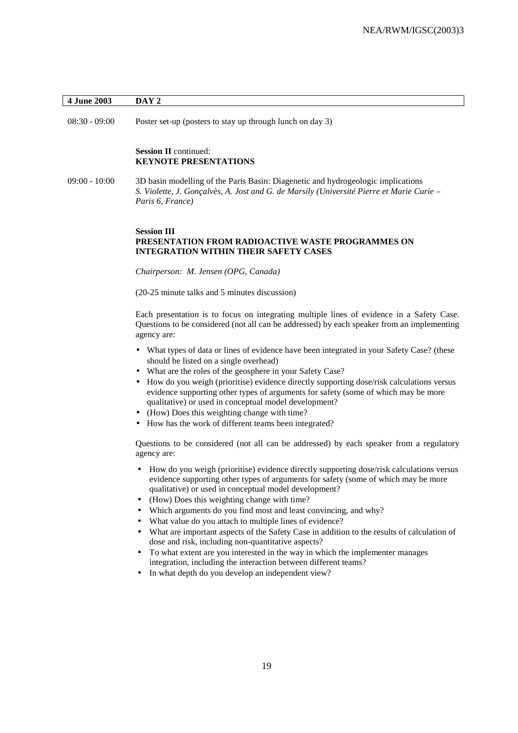### **4 June 2003 DAY 2**

08:30 - 09:00 Poster set-up (posters to stay up through lunch on day 3)

### **Session II** continued: **KEYNOTE PRESENTATIONS**

09:00 - 10:00 3D basin modelling of the Paris Basin: Diagenetic and hydrogeologic implications *S. Violette, J. Gonçalvès, A. Jost and G. de Marsily (Université Pierre et Marie Curie – Paris 6, France)*

### **Session III PRESENTATION FROM RADIOACTIVE WASTE PROGRAMMES ON INTEGRATION WITHIN THEIR SAFETY CASES**

*Chairperson: M. Jensen (OPG, Canada)*

(20-25 minute talks and 5 minutes discussion)

Each presentation is to focus on integrating multiple lines of evidence in a Safety Case. Questions to be considered (not all can be addressed) by each speaker from an implementing agency are:

- What types of data or lines of evidence have been integrated in your Safety Case? (these should be listed on a single overhead)
- What are the roles of the geosphere in your Safety Case?
- How do you weigh (prioritise) evidence directly supporting dose/risk calculations versus evidence supporting other types of arguments for safety (some of which may be more qualitative) or used in conceptual model development?
- (How) Does this weighting change with time?
- How has the work of different teams been integrated?

Questions to be considered (not all can be addressed) by each speaker from a regulatory agency are:

- How do you weigh (prioritise) evidence directly supporting dose/risk calculations versus evidence supporting other types of arguments for safety (some of which may be more qualitative) or used in conceptual model development?
- (How) Does this weighting change with time?
- Which arguments do you find most and least convincing, and why?
- What value do you attach to multiple lines of evidence?
- What are important aspects of the Safety Case in addition to the results of calculation of dose and risk, including non-quantitative aspects?
- To what extent are you interested in the way in which the implementer manages integration, including the interaction between different teams?
- In what depth do you develop an independent view?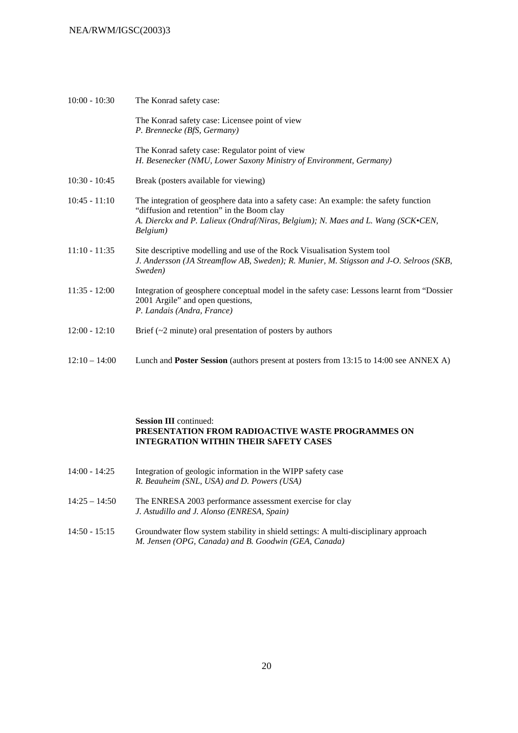| $10:00 - 10:30$ | The Konrad safety case:                                                                                                                                                                                                             |
|-----------------|-------------------------------------------------------------------------------------------------------------------------------------------------------------------------------------------------------------------------------------|
|                 | The Konrad safety case: Licensee point of view<br>P. Brennecke (BfS, Germany)                                                                                                                                                       |
|                 | The Konrad safety case: Regulator point of view<br>H. Besenecker (NMU, Lower Saxony Ministry of Environment, Germany)                                                                                                               |
| $10:30 - 10:45$ | Break (posters available for viewing)                                                                                                                                                                                               |
| $10:45 - 11:10$ | The integration of geosphere data into a safety case: An example: the safety function<br>"diffusion and retention" in the Boom clay<br>A. Dierckx and P. Lalieux (Ondraf/Niras, Belgium); N. Maes and L. Wang (SCK•CEN,<br>Belgium) |
| $11:10 - 11:35$ | Site descriptive modelling and use of the Rock Visualisation System tool<br>J. Andersson (JA Streamflow AB, Sweden); R. Munier, M. Stigsson and J-O. Selroos (SKB,<br>Sweden)                                                       |
| $11:35 - 12:00$ | Integration of geosphere conceptual model in the safety case: Lessons learnt from "Dossier"<br>2001 Argile" and open questions,<br>P. Landais (Andra, France)                                                                       |
| $12:00 - 12:10$ | Brief $(\sim 2$ minute) oral presentation of posters by authors                                                                                                                                                                     |
| $12:10 - 14:00$ | Lunch and <b>Poster Session</b> (authors present at posters from 13:15 to 14:00 see ANNEX A)                                                                                                                                        |

### **Session III** continued: **PRESENTATION FROM RADIOACTIVE WASTE PROGRAMMES ON INTEGRATION WITHIN THEIR SAFETY CASES**

| 14:00 - 14:25 | Integration of geologic information in the WIPP safety case |
|---------------|-------------------------------------------------------------|
|               | R. Beauheim (SNL, USA) and D. Powers (USA)                  |

- 14:25 14:50 The ENRESA 2003 performance assessment exercise for clay *J. Astudillo and J. Alonso (ENRESA, Spain)*
- 14:50 15:15 Groundwater flow system stability in shield settings: A multi-disciplinary approach *M. Jensen (OPG, Canada) and B. Goodwin (GEA, Canada)*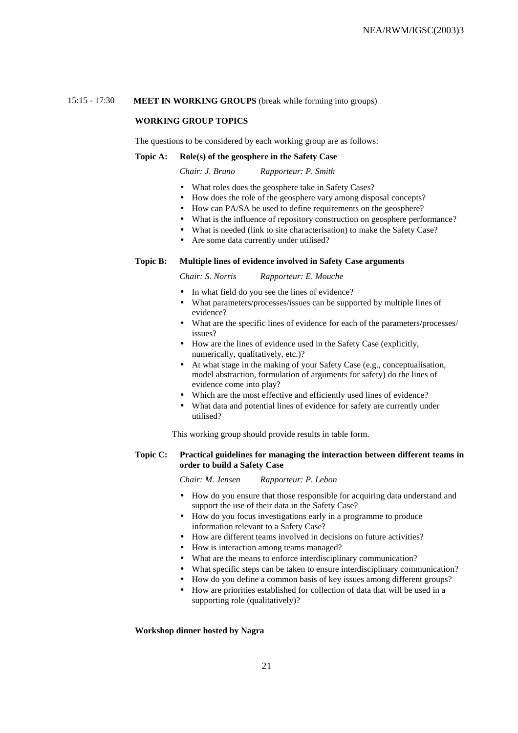### 15:15 - 17:30 **MEET IN WORKING GROUPS** (break while forming into groups)

### **WORKING GROUP TOPICS**

The questions to be considered by each working group are as follows:

### **Topic A: Role(s) of the geosphere in the Safety Case**

*Chair: J. Bruno Rapporteur: P. Smith*

- What roles does the geosphere take in Safety Cases?
- How does the role of the geosphere vary among disposal concepts?
- How can PA/SA be used to define requirements on the geosphere?
- What is the influence of repository construction on geosphere performance?
- What is needed (link to site characterisation) to make the Safety Case?
- Are some data currently under utilised?

### **Topic B: Multiple lines of evidence involved in Safety Case arguments**

*Chair: S. Norris Rapporteur: E. Mouche*

- In what field do you see the lines of evidence?
- What parameters/processes/issues can be supported by multiple lines of evidence?
- What are the specific lines of evidence for each of the parameters/processes/ issues?
- How are the lines of evidence used in the Safety Case (explicitly, numerically, qualitatively, etc.)?
- At what stage in the making of your Safety Case (e.g., conceptualisation, model abstraction, formulation of arguments for safety) do the lines of evidence come into play?
- Which are the most effective and efficiently used lines of evidence?
- What data and potential lines of evidence for safety are currently under utilised?

This working group should provide results in table form.

### **Topic C: Practical guidelines for managing the interaction between different teams in order to build a Safety Case**

*Chair: M. Jensen Rapporteur: P. Lebon*

- How do you ensure that those responsible for acquiring data understand and support the use of their data in the Safety Case?
- How do you focus investigations early in a programme to produce information relevant to a Safety Case?
- How are different teams involved in decisions on future activities?
- How is interaction among teams managed?
- What are the means to enforce interdisciplinary communication?
- What specific steps can be taken to ensure interdisciplinary communication?
- How do you define a common basis of key issues among different groups?
- How are priorities established for collection of data that will be used in a supporting role (qualitatively)?

#### **Workshop dinner hosted by Nagra**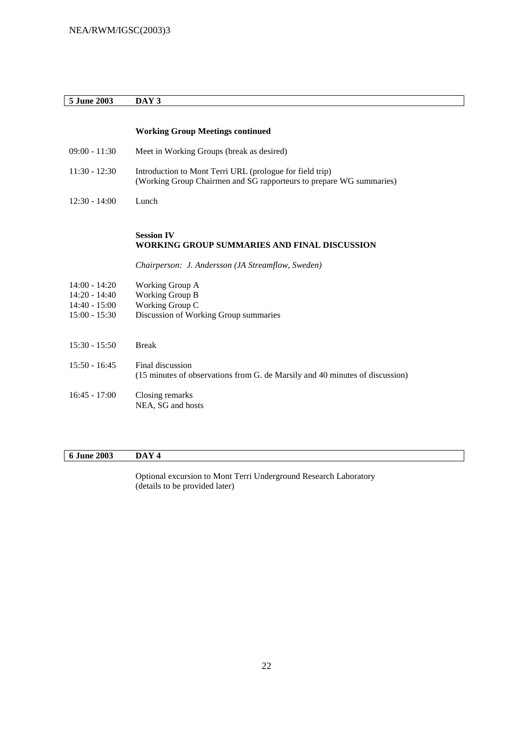## **5 June 2003 DAY 3**

|                                                                          | <b>Working Group Meetings continued</b>                                                                                         |
|--------------------------------------------------------------------------|---------------------------------------------------------------------------------------------------------------------------------|
| $09:00 - 11:30$                                                          | Meet in Working Groups (break as desired)                                                                                       |
| $11:30 - 12:30$                                                          | Introduction to Mont Terri URL (prologue for field trip)<br>(Working Group Chairmen and SG rapporteurs to prepare WG summaries) |
| $12:30 - 14:00$                                                          | Lunch                                                                                                                           |
|                                                                          |                                                                                                                                 |
|                                                                          | <b>Session IV</b><br>WORKING GROUP SUMMARIES AND FINAL DISCUSSION                                                               |
|                                                                          | Chairperson: J. Andersson (JA Streamflow, Sweden)                                                                               |
| $14:00 - 14:20$<br>$14:20 - 14:40$<br>$14:40 - 15:00$<br>$15:00 - 15:30$ | Working Group A<br>Working Group B<br>Working Group C<br>Discussion of Working Group summaries                                  |
| $15:30 - 15:50$                                                          | <b>Break</b>                                                                                                                    |
| $15:50 - 16:45$                                                          | Final discussion<br>(15 minutes of observations from G. de Marsily and 40 minutes of discussion)                                |
| $16:45 - 17:00$                                                          | Closing remarks<br>NEA, SG and hosts                                                                                            |

# **6 June 2003 DAY 4**

Optional excursion to Mont Terri Underground Research Laboratory (details to be provided later)